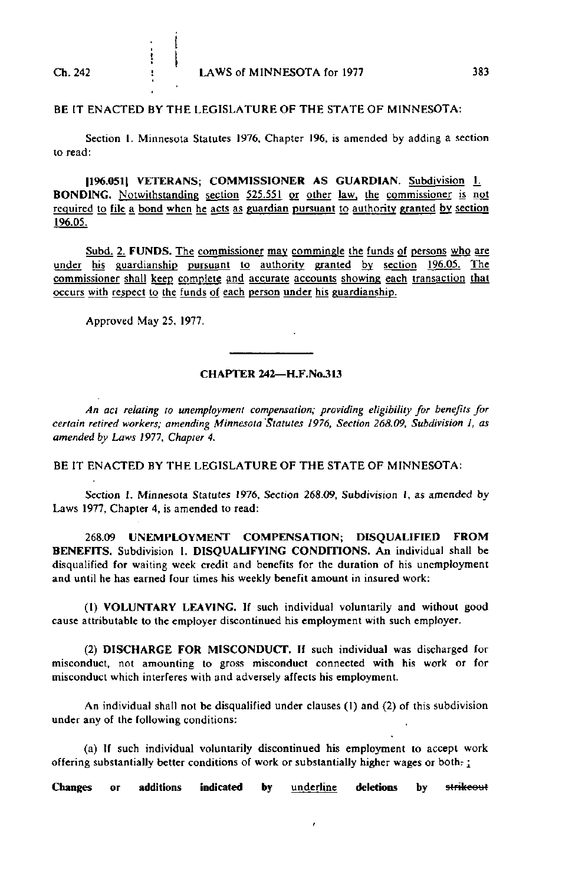## BE IT ENACTED BY THE LEGISLATURE OF THE STATE OF MINNESOTA:

Section 1. Minnesota Statutes 1976, Chapter 196, is amended by adding a section to read:

|196.051| VETERANS; COMMISSIONER AS GUARDIAN. Subdivision 1. BONDING. Notwithstanding section 525.551 or other law, the commissioner is not required to file a bond when he acts as guardian pursuant to authority granted by section 196.05.

Subd. 2. FUNDS. The commissioner may commingle the funds of persons who are under his guardianship pursuant to authority granted by section 196.05. The commissioner shall keep complete and accurate accounts showing each transaction that occurs with respect to the funds of each person under his guardianship.

Approved May 25, 1977.

İ

ţ  $\mathbf{I}$ 

## CHAPTER 242—H.F.No.313

An act relating to unemployment compensation; providing eligibility for benefits for certain retired workers; amending Minnesota Statutes 1976, Section 268.09, Subdivision I, as amended by Laws 1977, Chapter 4.

BE IT ENACTED BY THE LEGISLATURE OF THE STATE OF MINNESOTA:

Section 1. Minnesota Statutes 1976, Section 268.09, Subdivision I, as amended by Laws 1977, Chapter 4, is amended to read:

268.09 UNEMPLOYMENT COMPENSATION; DISQUALIFIED FROM BENEFITS. Subdivision 1. DISQUALIFYING CONDITIONS. An individual shall be disqualified for waiting week credit and benefits for the duration of his unemployment and until he has earned four times his weekly benefit amount in insured work:

(1) VOLUNTARY LEAVING. If such individual voluntarily and without good cause attributable to the employer discontinued his employment with such employer.

(2) DISCHARGE FOR MISCONDUCT. If such individual was discharged for misconduct, not amounting to gross misconduct connected with his work or for misconduct which interferes with and adversely affects his employment.

An individual shall not be disqualified under clauses (1) and (2) of this subdivision under any of the following conditions:

(a) If such individual voluntarily discontinued his employment to accept work offering substantially better conditions of work or substantially higher wages or both-;

Changes or additions indicated by underline deletions by strikeout

 $\lambda$